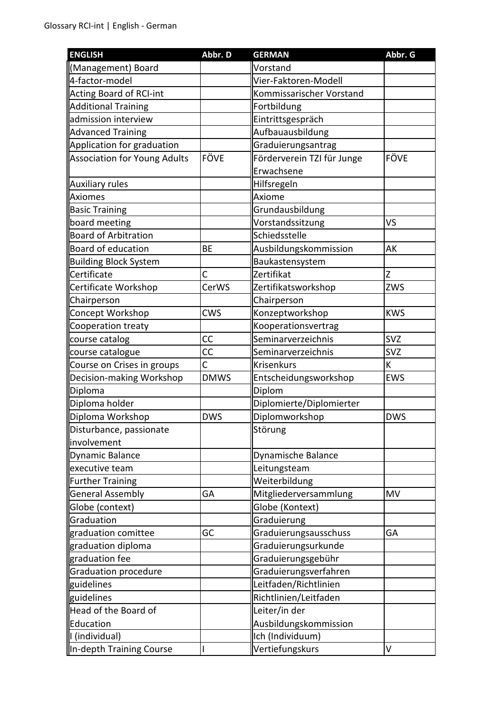| <b>ENGLISH</b>                      | Abbr. D     | <b>GERMAN</b>              | Abbr. G     |
|-------------------------------------|-------------|----------------------------|-------------|
| (Management) Board                  |             | Vorstand                   |             |
| 4-factor-model                      |             | Vier-Faktoren-Modell       |             |
| Acting Board of RCI-int             |             | Kommissarischer Vorstand   |             |
| <b>Additional Training</b>          |             | Fortbildung                |             |
| admission interview                 |             | Eintrittsgespräch          |             |
| <b>Advanced Training</b>            |             | Aufbauausbildung           |             |
| Application for graduation          |             | Graduierungsantrag         |             |
| <b>Association for Young Adults</b> | FÖVE        | Förderverein TZI für Junge | <b>FÖVE</b> |
|                                     |             | Erwachsene                 |             |
| <b>Auxiliary rules</b>              |             | Hilfsregeln                |             |
| <b>Axiomes</b>                      |             | Axiome                     |             |
| <b>Basic Training</b>               |             | Grundausbildung            |             |
| board meeting                       |             | Vorstandssitzung           | VS          |
| <b>Board of Arbitration</b>         |             | Schiedsstelle              |             |
| Board of education                  | BE          | Ausbildungskommission      | AK          |
| <b>Building Block System</b>        |             | Baukastensystem            |             |
| Certificate                         | Ċ           | Zertifikat                 | Z           |
| Certificate Workshop                | CerWS       | Zertifikatsworkshop        | ZWS         |
| Chairperson                         |             | Chairperson                |             |
| Concept Workshop                    | <b>CWS</b>  | Konzeptworkshop            | <b>KWS</b>  |
| Cooperation treaty                  |             | Kooperationsvertrag        |             |
| course catalog                      | СC          | Seminarverzeichnis         | <b>SVZ</b>  |
| course catalogue                    | CC          | Seminarverzeichnis         | <b>SVZ</b>  |
| Course on Crises in groups          | C           | <b>Krisenkurs</b>          | К           |
| Decision-making Workshop            | <b>DMWS</b> | Entscheidungsworkshop      | <b>EWS</b>  |
| Diploma                             |             | Diplom                     |             |
| Diploma holder                      |             | Diplomierte/Diplomierter   |             |
| Diploma Workshop                    | <b>DWS</b>  | Diplomworkshop             | <b>DWS</b>  |
| Disturbance, passionate             |             | Störung                    |             |
| involvement                         |             |                            |             |
| <b>Dynamic Balance</b>              |             | Dynamische Balance         |             |
| executive team                      |             | Leitungsteam               |             |
| <b>Further Training</b>             |             | Weiterbildung              |             |
| <b>General Assembly</b>             | GA          | Mitgliederversammlung      | <b>MV</b>   |
| Globe (context)                     |             | Globe (Kontext)            |             |
| Graduation                          |             | Graduierung                |             |
| graduation comittee                 | GC          | Graduierungsausschuss      | GA          |
| graduation diploma                  |             | Graduierungsurkunde        |             |
| graduation fee                      |             | Graduierungsgebühr         |             |
| <b>Graduation procedure</b>         |             | Graduierungsverfahren      |             |
| guidelines                          |             | Leitfaden/Richtlinien      |             |
| guidelines                          |             | Richtlinien/Leitfaden      |             |
| Head of the Board of                |             | Leiter/in der              |             |
| Education                           |             | Ausbildungskommission      |             |
| I (individual)                      |             | Ich (Individuum)           |             |
| In-depth Training Course            |             | Vertiefungskurs            | V           |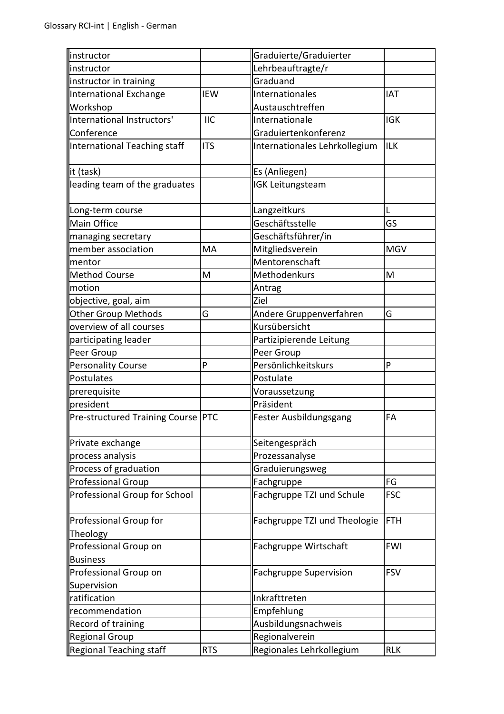| instructor                         |            | Graduierte/Graduierter        |            |
|------------------------------------|------------|-------------------------------|------------|
| instructor                         |            | Lehrbeauftragte/r             |            |
| instructor in training             |            | Graduand                      |            |
| International Exchange             | <b>IEW</b> | Internationales               | <b>IAT</b> |
| Workshop                           |            | Austauschtreffen              |            |
| International Instructors'         | <b>IIC</b> | Internationale                | <b>IGK</b> |
| Conference                         |            | Graduiertenkonferenz          |            |
| International Teaching staff       | <b>ITS</b> | Internationales Lehrkollegium | <b>ILK</b> |
| it (task)                          |            | Es (Anliegen)                 |            |
| leading team of the graduates      |            | <b>IGK Leitungsteam</b>       |            |
| Long-term course                   |            | Langzeitkurs                  |            |
| <b>Main Office</b>                 |            | Geschäftsstelle               | GS         |
| managing secretary                 |            | Geschäftsführer/in            |            |
| member association                 | MA         | Mitgliedsverein               | <b>MGV</b> |
| mentor                             |            | Mentorenschaft                |            |
| <b>Method Course</b>               | M          | Methodenkurs                  | M          |
| motion                             |            | Antrag                        |            |
| objective, goal, aim               |            | Ziel                          |            |
| <b>Other Group Methods</b>         | G          | Andere Gruppenverfahren       | G          |
| overview of all courses            |            | Kursübersicht                 |            |
| participating leader               |            | Partizipierende Leitung       |            |
| Peer Group                         |            | Peer Group                    |            |
| <b>Personality Course</b>          | P          | Persönlichkeitskurs           | P          |
| Postulates                         |            | Postulate                     |            |
| prerequisite                       |            | Voraussetzung                 |            |
| president                          |            | Präsident                     |            |
| Pre-structured Training Course PTC |            | Fester Ausbildungsgang        | FA         |
| Private exchange                   |            | Seitengespräch                |            |
| process analysis                   |            | Prozessanalyse                |            |
| Process of graduation              |            | Graduierungsweg               |            |
| <b>Professional Group</b>          |            | Fachgruppe                    | FG         |
| Professional Group for School      |            | Fachgruppe TZI und Schule     | <b>FSC</b> |
| Professional Group for<br>Theology |            | Fachgruppe TZI und Theologie  | <b>FTH</b> |
| Professional Group on              |            | Fachgruppe Wirtschaft         | <b>FWI</b> |
| <b>Business</b>                    |            |                               |            |
| Professional Group on              |            | <b>Fachgruppe Supervision</b> | <b>FSV</b> |
| Supervision                        |            |                               |            |
| ratification                       |            | Inkrafttreten                 |            |
| recommendation                     |            | Empfehlung                    |            |
| Record of training                 |            | Ausbildungsnachweis           |            |
| <b>Regional Group</b>              |            | Regionalverein                |            |
| <b>Regional Teaching staff</b>     | <b>RTS</b> | Regionales Lehrkollegium      | <b>RLK</b> |